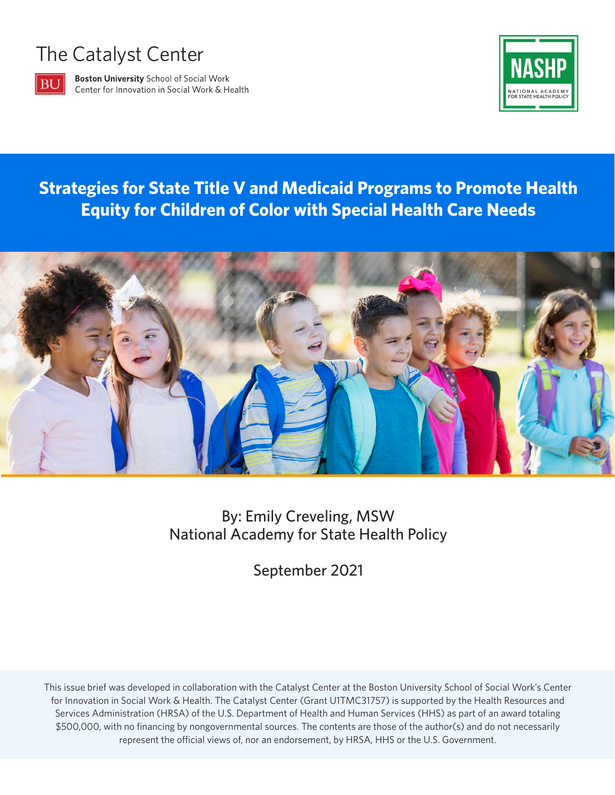# The Catalyst Center



**Boston University School of Social Work** Center for Innovation in Social Work & Health



## **Strategies for State Title V and Medicaid Programs to Promote Health Equity for Children of Color with Special Health Care Needs**



#### By: Emily Creveling, MSW National Academy for State Health Policy

September 2021

This issue brief was developed in collaboration with the Catalyst Center at the Boston University School of Social Work's Center for Innovation in Social Work & Health. The Catalyst Center (Grant U1TMC31757) is supported by the Health Resources and Services Administration (HRSA) of the U.S. Department of Health and Human Services (HHS) as part of an award totaling \$500,000, with no financing by nongovernmental sources. The contents are those of the author(s) and do not necessarily represent the official views of, nor an endorsement, by HRSA, HHS or the U.S. Government.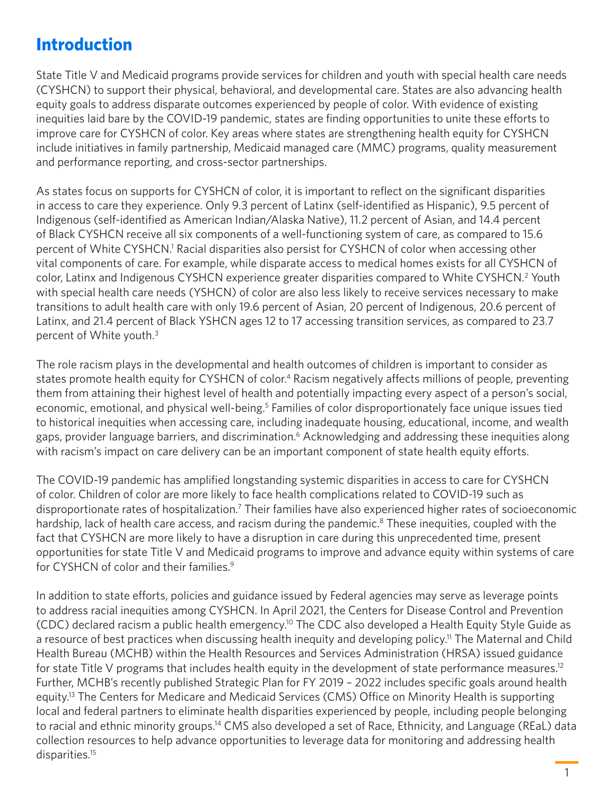### <span id="page-1-0"></span>**Introduction**

State Title V and Medicaid programs provide services for children and youth with special health care needs (CYSHCN) to support their physical, behavioral, and developmental care. States are also advancing health equity goals to address disparate outcomes experienced by people of color. With evidence of existing inequities laid bare by the COVID-19 pandemic, states are finding opportunities to unite these efforts to improve care for CYSHCN of color. Key areas where states are strengthening health equity for CYSHCN include initiatives in family partnership, Medicaid managed care (MMC) programs, quality measurement and performance reporting, and cross-sector partnerships.

As states focus on supports for CYSHCN of color, it is important to reflect on the significant disparities in access to care they experience. Only 9.3 percent of Latinx (self-identified as Hispanic), 9.5 percent of Indigenous (self-identified as American Indian/Alaska Native), 11.2 percent of Asian, and 14.4 percent of Black CYSHCN receive all six components of a well-functioning system of care, as compared to 15.6 percent of White CYSHCN.<sup>1</sup> Racial disparities also persist for CYSHCN of color when accessing other vital components of care. For example, while disparate access to medical homes exists for all CYSHCN of color, Latinx and Indigenous CYSHCN experience greater disparities compared to White CYSHCN.<sup>[2](#page-6-0)</sup> Youth with special health care needs (YSHCN) of color are also less likely to receive services necessary to make transitions to adult health care with only 19.6 percent of Asian, 20 percent of Indigenous, 20.6 percent of Latinx, and 21.4 percent of Black YSHCN ages 12 to 17 accessing transition services, as compared to 23.7 percent of White youth.[3](#page-6-0)

The role racism plays in the developmental and health outcomes of children is important to consider as states promote health equity for CYSHCN of color.<sup>4</sup> Racism negatively affects millions of people, preventing them from attaining their highest level of health and potentially impacting every aspect of a person's social, economic, emotional, and physical well-being.<sup>[5](#page-6-0)</sup> Families of color disproportionately face unique issues tied to historical inequities when accessing care, including inadequate housing, educational, income, and wealth gaps, provider language barriers, and discrimination.<sup>[6](#page-6-0)</sup> Acknowledging and addressing these inequities along with racism's impact on care delivery can be an important component of state health equity efforts.

The COVID-19 pandemic has amplified longstanding systemic disparities in access to care for CYSHCN of color. Children of color are more likely to face health complications related to COVID-19 such as disproportionate rates of hospitalization.<sup>7</sup> Their families have also experienced higher rates of socioeconomic hardship, lack of health care access, and racism during the pandemic.<sup>8</sup> These inequities, coupled with the fact that CYSHCN are more likely to have a disruption in care during this unprecedented time, present opportunities for state Title V and Medicaid programs to improve and advance equity within systems of care for CYSHCN of color and their families.<sup>9</sup>

In addition to state efforts, policies and guidance issued by Federal agencies may serve as leverage points to address racial inequities among CYSHCN. In April 2021, the Centers for Disease Control and Prevention (CDC) declared racism a public health emergency[.10](#page-6-0) The CDC also developed a Health Equity Style Guide as a resource of best practices when discussing health inequity and developing policy.<sup>11</sup> The Maternal and Child Health Bureau (MCHB) within the Health Resources and Services Administration (HRSA) issued guidance for state Title V programs that includes health equity in the development of state performance measures.<sup>12</sup> Further, MCHB's recently published Strategic Plan for FY 2019 – 2022 includes specific goals around health equity.<sup>13</sup> The Centers for Medicare and Medicaid Services (CMS) Office on Minority Health is supporting local and federal partners to eliminate health disparities experienced by people, including people belonging to racial and ethnic minority groups.<sup>14</sup> CMS also developed a set of Race, Ethnicity, and Language (REaL) data collection resources to help advance opportunities to leverage data for monitoring and addressing health disparities[.15](#page-6-0)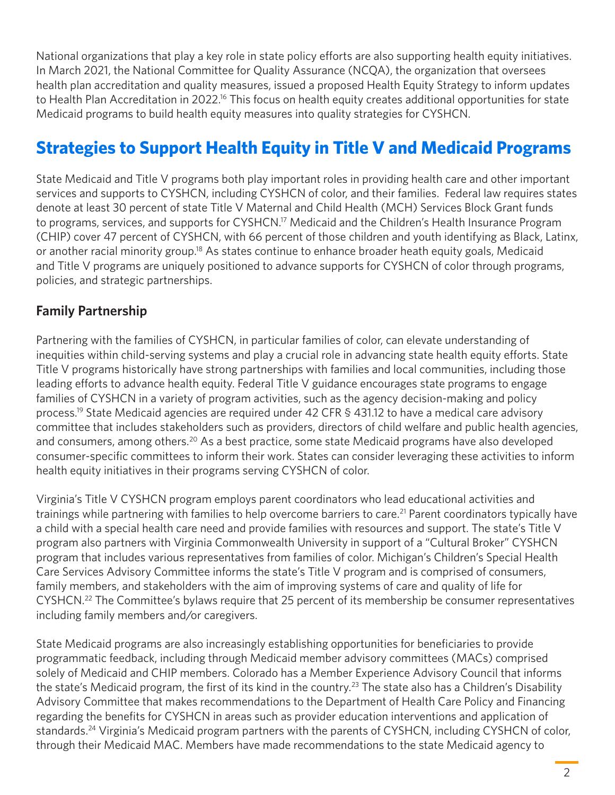<span id="page-2-0"></span>National organizations that play a key role in state policy efforts are also supporting health equity initiatives. In March 2021, the National Committee for Quality Assurance (NCQA), the organization that oversees health plan accreditation and quality measures, issued a proposed Health Equity Strategy to inform updates to Health Plan Accreditation in 2022.<sup>16</sup> This focus on health equity creates additional opportunities for state Medicaid programs to build health equity measures into quality strategies for CYSHCN.

### **Strategies to Support Health Equity in Title V and Medicaid Programs**

State Medicaid and Title V programs both play important roles in providing health care and other important services and supports to CYSHCN, including CYSHCN of color, and their families. Federal law requires states denote at least 30 percent of state Title V Maternal and Child Health (MCH) Services Block Grant funds to programs, services, and supports for CYSHCN.<sup>17</sup> Medicaid and the Children's Health Insurance Program (CHIP) cover 47 percent of CYSHCN, with 66 percent of those children and youth identifying as Black, Latinx, or another racial minority group.<sup>18</sup> As states continue to enhance broader heath equity goals, Medicaid and Title V programs are uniquely positioned to advance supports for CYSHCN of color through programs, policies, and strategic partnerships.

#### **Family Partnership**

Partnering with the families of CYSHCN, in particular families of color, can elevate understanding of inequities within child-serving systems and play a crucial role in advancing state health equity efforts. State Title V programs historically have strong partnerships with families and local communities, including those leading efforts to advance health equity. Federal Title V guidance encourages state programs to engage families of CYSHCN in a variety of program activities, such as the agency decision-making and policy process.<sup>19</sup> State Medicaid agencies are required under 42 CFR § 431.12 to have a medical care advisory committee that includes stakeholders such as providers, directors of child welfare and public health agencies, and consumers, among others.<sup>20</sup> As a best practice, some state Medicaid programs have also developed consumer-specific committees to inform their work. States can consider leveraging these activities to inform health equity initiatives in their programs serving CYSHCN of color.

Virginia's Title V CYSHCN program employs parent coordinators who lead educational activities and trainings while partnering with families to help overcome barriers to care.<sup>[21](#page-7-0)</sup> Parent coordinators typically have a child with a special health care need and provide families with resources and support. The state's Title V program also partners with Virginia Commonwealth University in support of a "Cultural Broker" CYSHCN program that includes various representatives from families of color. Michigan's Children's Special Health Care Services Advisory Committee informs the state's Title V program and is comprised of consumers, family members, and stakeholders with the aim of improving systems of care and quality of life for CYSHCN[.22](#page-7-0) The Committee's bylaws require that 25 percent of its membership be consumer representatives including family members and/or caregivers.

State Medicaid programs are also increasingly establishing opportunities for beneficiaries to provide programmatic feedback, including through Medicaid member advisory committees (MACs) comprised solely of Medicaid and CHIP members. Colorado has a Member Experience Advisory Council that informs the state's Medicaid program, the first of its kind in the country.<sup>[23](#page-7-0)</sup> The state also has a Children's Disability Advisory Committee that makes recommendations to the Department of Health Care Policy and Financing regarding the benefits for CYSHCN in areas such as provider education interventions and application of standards.<sup>24</sup> Virginia's Medicaid program partners with the parents of CYSHCN, including CYSHCN of color, through their Medicaid MAC. Members have made recommendations to the state Medicaid agency to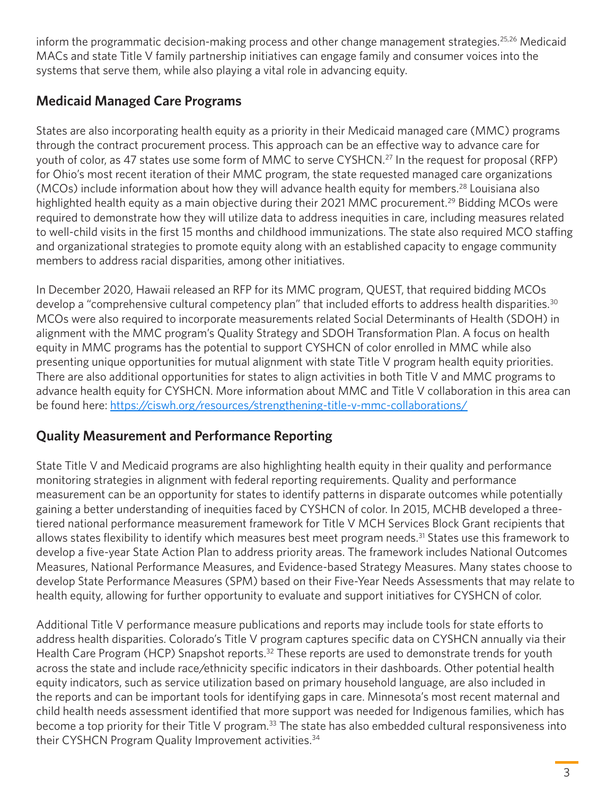<span id="page-3-0"></span>inform the programmatic decision-making process and other change management strategies.<sup>25,26</sup> Medicaid MACs and state Title V family partnership initiatives can engage family and consumer voices into the systems that serve them, while also playing a vital role in advancing equity.

#### **Medicaid Managed Care Programs**

States are also incorporating health equity as a priority in their Medicaid managed care (MMC) programs through the contract procurement process. This approach can be an effective way to advance care for youth of color, as 47 states use some form of MMC to serve CYSHCN.<sup>[27](#page-7-0)</sup> In the request for proposal (RFP) for Ohio's most recent iteration of their MMC program, the state requested managed care organizations (MCOs) include information about how they will advance health equity for members.<sup>28</sup> Louisiana also highlighted health equity as a main objective during their 2021 MMC procurement.<sup>29</sup> Bidding MCOs were required to demonstrate how they will utilize data to address inequities in care, including measures related to well-child visits in the first 15 months and childhood immunizations. The state also required MCO staffing and organizational strategies to promote equity along with an established capacity to engage community members to address racial disparities, among other initiatives.

In December 2020, Hawaii released an RFP for its MMC program, QUEST, that required bidding MCOs develop a "comprehensive cultural competency plan" that included efforts to address health disparities.<sup>[30](#page-7-0)</sup> MCOs were also required to incorporate measurements related Social Determinants of Health (SDOH) in alignment with the MMC program's Quality Strategy and SDOH Transformation Plan. A focus on health equity in MMC programs has the potential to support CYSHCN of color enrolled in MMC while also presenting unique opportunities for mutual alignment with state Title V program health equity priorities. There are also additional opportunities for states to align activities in both Title V and MMC programs to advance health equity for CYSHCN. More information about MMC and Title V collaboration in this area can be found here: <https://ciswh.org/resources/strengthening-title-v-mmc-collaborations/>

#### **Quality Measurement and Performance Reporting**

State Title V and Medicaid programs are also highlighting health equity in their quality and performance monitoring strategies in alignment with federal reporting requirements. Quality and performance measurement can be an opportunity for states to identify patterns in disparate outcomes while potentially gaining a better understanding of inequities faced by CYSHCN of color. In 2015, MCHB developed a threetiered national performance measurement framework for Title V MCH Services Block Grant recipients that allows states flexibility to identify which measures best meet program needs.<sup>[31](#page-7-0)</sup> States use this framework to develop a five-year State Action Plan to address priority areas. The framework includes National Outcomes Measures, National Performance Measures, and Evidence-based Strategy Measures. Many states choose to develop State Performance Measures (SPM) based on their Five-Year Needs Assessments that may relate to health equity, allowing for further opportunity to evaluate and support initiatives for CYSHCN of color.

Additional Title V performance measure publications and reports may include tools for state efforts to address health disparities. Colorado's Title V program captures specific data on CYSHCN annually via their Health Care Program (HCP) Snapshot reports.<sup>32</sup> These reports are used to demonstrate trends for youth across the state and include race/ethnicity specific indicators in their dashboards. Other potential health equity indicators, such as service utilization based on primary household language, are also included in the reports and can be important tools for identifying gaps in care. Minnesota's most recent maternal and child health needs assessment identified that more support was needed for Indigenous families, which has become a top priority for their Title V program.<sup>[33](#page-7-0)</sup> The state has also embedded cultural responsiveness into their CYSHCN Program Quality Improvement activities.<sup>[34](#page-7-0)</sup>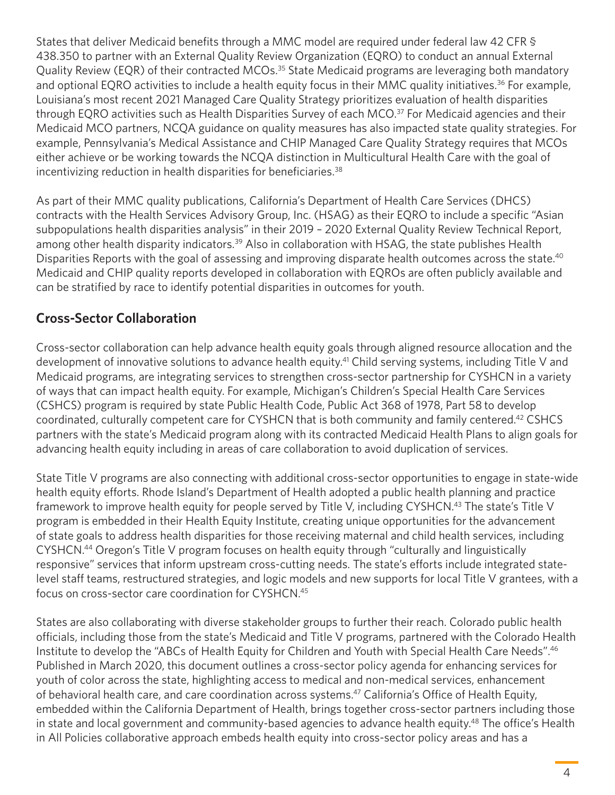<span id="page-4-0"></span>States that deliver Medicaid benefits through a MMC model are required under federal law 42 CFR § 438.350 to partner with an External Quality Review Organization (EQRO) to conduct an annual External Quality Review (EQR) of their contracted MCOs.<sup>[35](#page-7-0)</sup> State Medicaid programs are leveraging both mandatory and optional EQRO activities to include a health equity focus in their MMC quality initiatives.<sup>36</sup> For example, Louisiana's most recent 2021 Managed Care Quality Strategy prioritizes evaluation of health disparities through EQRO activities such as Health Disparities Survey of each MCO.<sup>37</sup> For Medicaid agencies and their Medicaid MCO partners, NCQA guidance on quality measures has also impacted state quality strategies. For example, Pennsylvania's Medical Assistance and CHIP Managed Care Quality Strategy requires that MCOs either achieve or be working towards the NCQA distinction in Multicultural Health Care with the goal of incentivizing reduction in health disparities for beneficiaries.<sup>[38](#page-7-0)</sup>

As part of their MMC quality publications, California's Department of Health Care Services (DHCS) contracts with the Health Services Advisory Group, Inc. (HSAG) as their EQRO to include a specific "Asian subpopulations health disparities analysis" in their 2019 – 2020 External Quality Review Technical Report, among other health disparity indicators.<sup>39</sup> Also in collaboration with HSAG, the state publishes Health Disparities Reports with the goal of assessing and improving disparate health outcomes across the state.<sup>40</sup> Medicaid and CHIP quality reports developed in collaboration with EQROs are often publicly available and can be stratified by race to identify potential disparities in outcomes for youth.

#### **Cross-Sector Collaboration**

Cross-sector collaboration can help advance health equity goals through aligned resource allocation and the development of innovative solutions to advance health equity.<sup>41</sup> Child serving systems, including Title V and Medicaid programs, are integrating services to strengthen cross-sector partnership for CYSHCN in a variety of ways that can impact health equity. For example, Michigan's Children's Special Health Care Services (CSHCS) program is required by state Public Health Code, Public Act 368 of 1978, Part 58 to develop coordinated, culturally competent care for CYSHCN that is both community and family centered[.42](#page-8-0) CSHCS partners with the state's Medicaid program along with its contracted Medicaid Health Plans to align goals for advancing health equity including in areas of care collaboration to avoid duplication of services.

State Title V programs are also connecting with additional cross-sector opportunities to engage in state-wide health equity efforts. Rhode Island's Department of Health adopted a public health planning and practice framework to improve health equity for people served by Title V, including CYSHCN.<sup>43</sup> The state's Title V program is embedded in their Health Equity Institute, creating unique opportunities for the advancement of state goals to address health disparities for those receiving maternal and child health services, including CYSHCN[.44](#page-8-0) Oregon's Title V program focuses on health equity through "culturally and linguistically responsive" services that inform upstream cross-cutting needs. The state's efforts include integrated statelevel staff teams, restructured strategies, and logic models and new supports for local Title V grantees, with a focus on cross-sector care coordination for CYSHCN[.45](#page-8-0)

States are also collaborating with diverse stakeholder groups to further their reach. Colorado public health officials, including those from the state's Medicaid and Title V programs, partnered with the Colorado Health Institute to develop the "ABCs of Health Equity for Children and Youth with Special Health Care Needs"[.46](#page-8-0) Published in March 2020, this document outlines a cross-sector policy agenda for enhancing services for youth of color across the state, highlighting access to medical and non-medical services, enhancement of behavioral health care, and care coordination across systems.<sup>47</sup> California's Office of Health Equity, embedded within the California Department of Health, brings together cross-sector partners including those in state and local government and community-based agencies to advance health equity.<sup>48</sup> The office's Health in All Policies collaborative approach embeds health equity into cross-sector policy areas and has a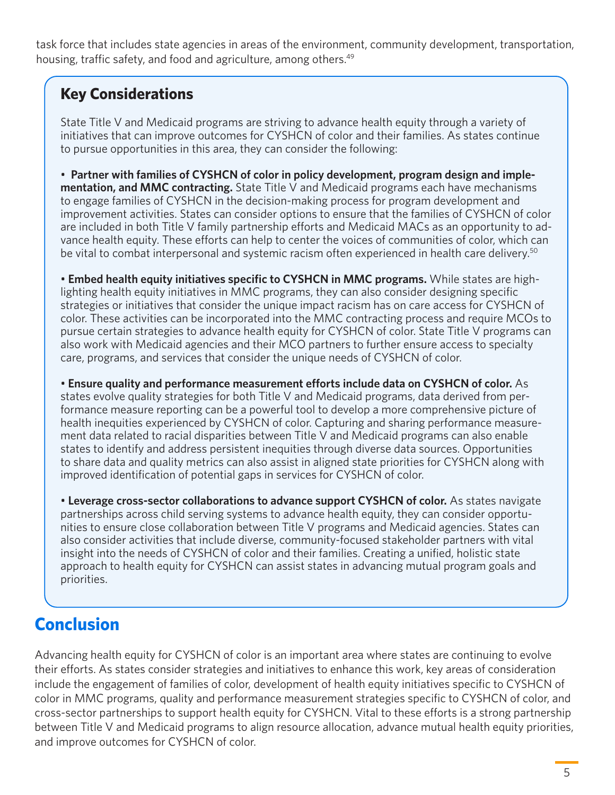<span id="page-5-0"></span>task force that includes state agencies in areas of the environment, community development, transportation, housing, traffic safety, and food and agriculture, among others.<sup>49</sup>

### **Key Considerations**

State Title V and Medicaid programs are striving to advance health equity through a variety of initiatives that can improve outcomes for CYSHCN of color and their families. As states continue to pursue opportunities in this area, they can consider the following:

• **Partner with families of CYSHCN of color in policy development, program design and implementation, and MMC contracting.** State Title V and Medicaid programs each have mechanisms to engage families of CYSHCN in the decision-making process for program development and improvement activities. States can consider options to ensure that the families of CYSHCN of color are included in both Title V family partnership efforts and Medicaid MACs as an opportunity to advance health equity. These efforts can help to center the voices of communities of color, which can be vital to combat interpersonal and systemic racism often experienced in health care delivery.<sup>[50](#page-8-0)</sup>

• **Embed health equity initiatives specific to CYSHCN in MMC programs.** While states are highlighting health equity initiatives in MMC programs, they can also consider designing specific strategies or initiatives that consider the unique impact racism has on care access for CYSHCN of color. These activities can be incorporated into the MMC contracting process and require MCOs to pursue certain strategies to advance health equity for CYSHCN of color. State Title V programs can also work with Medicaid agencies and their MCO partners to further ensure access to specialty care, programs, and services that consider the unique needs of CYSHCN of color.

• **Ensure quality and performance measurement efforts include data on CYSHCN of color.** As states evolve quality strategies for both Title V and Medicaid programs, data derived from performance measure reporting can be a powerful tool to develop a more comprehensive picture of health inequities experienced by CYSHCN of color. Capturing and sharing performance measurement data related to racial disparities between Title V and Medicaid programs can also enable states to identify and address persistent inequities through diverse data sources. Opportunities to share data and quality metrics can also assist in aligned state priorities for CYSHCN along with improved identification of potential gaps in services for CYSHCN of color.

• **Leverage cross-sector collaborations to advance support CYSHCN of color.** As states navigate partnerships across child serving systems to advance health equity, they can consider opportunities to ensure close collaboration between Title V programs and Medicaid agencies. States can also consider activities that include diverse, community-focused stakeholder partners with vital insight into the needs of CYSHCN of color and their families. Creating a unified, holistic state approach to health equity for CYSHCN can assist states in advancing mutual program goals and priorities.

# **Conclusion**

Advancing health equity for CYSHCN of color is an important area where states are continuing to evolve their efforts. As states consider strategies and initiatives to enhance this work, key areas of consideration include the engagement of families of color, development of health equity initiatives specific to CYSHCN of color in MMC programs, quality and performance measurement strategies specific to CYSHCN of color, and cross-sector partnerships to support health equity for CYSHCN. Vital to these efforts is a strong partnership between Title V and Medicaid programs to align resource allocation, advance mutual health equity priorities, and improve outcomes for CYSHCN of color.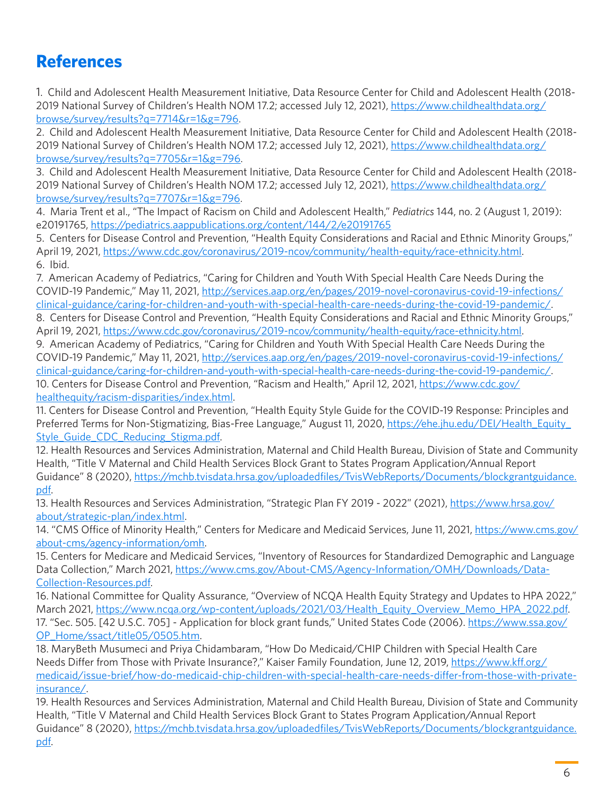## <span id="page-6-0"></span>**References**

[1](#page-1-0). Child and Adolescent Health Measurement Initiative, Data Resource Center for Child and Adolescent Health (2018- 2019 National Survey of Children's Health NOM 17.2; accessed July 12, 2021), [https://www.childhealthdata.org/](https://www.childhealthdata.org/browse/survey/results?q=7714&r=1&g=796) [browse/survey/results?q=7714&r=1&g=796.](https://www.childhealthdata.org/browse/survey/results?q=7714&r=1&g=796)

[2.](#page-1-0) Child and Adolescent Health Measurement Initiative, Data Resource Center for Child and Adolescent Health (2018- 2019 National Survey of Children's Health NOM 17.2; accessed July 12, 2021), [https://www.childhealthdata.org/](https://www.childhealthdata.org/browse/survey/results?q=7705&r=1&g=796) [browse/survey/results?q=7705&r=1&g=796.](https://www.childhealthdata.org/browse/survey/results?q=7705&r=1&g=796)

[3.](#page-1-0) Child and Adolescent Health Measurement Initiative, Data Resource Center for Child and Adolescent Health (2018 2019 National Survey of Children's Health NOM 17.2; accessed July 12, 2021), [https://www.childhealthdata.org/](https://www.childhealthdata.org/browse/survey/results?q=7707&r=1&g=796) [browse/survey/results?q=7707&r=1&g=796](https://www.childhealthdata.org/browse/survey/results?q=7707&r=1&g=796).

[4.](#page-1-0) Maria Trent et al., "The Impact of Racism on Child and Adolescent Health," *Pediatrics* 144, no. 2 (August 1, 2019): e20191765, <https://pediatrics.aappublications.org/content/144/2/e20191765>

[5.](#page-1-0) Centers for Disease Control and Prevention, "Health Equity Considerations and Racial and Ethnic Minority Groups," April 19, 2021, <https://www.cdc.gov/coronavirus/2019-ncov/community/health-equity/race-ethnicity.html>. [6](#page-1-0). Ibid.

[7.](#page-1-0) American Academy of Pediatrics, "Caring for Children and Youth With Special Health Care Needs During the COVID-19 Pandemic," May 11, 2021, [http://services.aap.org/en/pages/2019-novel-coronavirus-covid-19-infections/](http://services.aap.org/en/pages/2019-novel-coronavirus-covid-19-infections/clinical-guidance/caring-for-children-and-youth-with-special-health-care-needs-during-the-covid-19-pandemic/) [clinical-guidance/caring-for-children-and-youth-with-special-health-care-needs-during-the-covid-19-pandemic/.](http://services.aap.org/en/pages/2019-novel-coronavirus-covid-19-infections/clinical-guidance/caring-for-children-and-youth-with-special-health-care-needs-during-the-covid-19-pandemic/) [8](#page-1-0). Centers for Disease Control and Prevention, "Health Equity Considerations and Racial and Ethnic Minority Groups,"

April 19, 2021, <https://www.cdc.gov/coronavirus/2019-ncov/community/health-equity/race-ethnicity.html>. [9.](#page-1-0) American Academy of Pediatrics, "Caring for Children and Youth With Special Health Care Needs During the COVID-19 Pandemic," May 11, 2021, [http://services.aap.org/en/pages/2019-novel-coronavirus-covid-19-infections/](http://services.aap.org/en/pages/2019-novel-coronavirus-covid-19-infections/clinical-guidance/caring-for-children-and-youth-with-special-health-care-needs-during-the-covid-19-pandemic/) [clinical-guidance/caring-for-children-and-youth-with-special-health-care-needs-during-the-covid-19-pandemic/.](http://services.aap.org/en/pages/2019-novel-coronavirus-covid-19-infections/clinical-guidance/caring-for-children-and-youth-with-special-health-care-needs-during-the-covid-19-pandemic/) [10](#page-1-0). Centers for Disease Control and Prevention, "Racism and Health," April 12, 2021, [https://www.cdc.gov/](https://www.cdc.gov/healthequity/racism-disparities/index.html)

[healthequity/racism-disparities/index.html.](https://www.cdc.gov/healthequity/racism-disparities/index.html)

[11.](#page-1-0) Centers for Disease Control and Prevention, "Health Equity Style Guide for the COVID-19 Response: Principles and Preferred Terms for Non-Stigmatizing, Bias-Free Language," August 11, 2020, [https://ehe.jhu.edu/DEI/Health\\_Equity\\_](https://ehe.jhu.edu/DEI/Health_Equity_Style_Guide_CDC_Reducing_Stigma.pdf) [Style\\_Guide\\_CDC\\_Reducing\\_Stigma.pdf.](https://ehe.jhu.edu/DEI/Health_Equity_Style_Guide_CDC_Reducing_Stigma.pdf)

[12.](#page-1-0) Health Resources and Services Administration, Maternal and Child Health Bureau, Division of State and Community Health, "Title V Maternal and Child Health Services Block Grant to States Program Application/Annual Report Guidance" 8 (2020), [https://mchb.tvisdata.hrsa.gov/uploadedfiles/TvisWebReports/Documents/blockgrantguidance.](https://mchb.tvisdata.hrsa.gov/uploadedfiles/TvisWebReports/Documents/blockgrantguidance.pdf) [pdf.](https://mchb.tvisdata.hrsa.gov/uploadedfiles/TvisWebReports/Documents/blockgrantguidance.pdf)

[13.](#page-1-0) Health Resources and Services Administration, "Strategic Plan FY 2019 - 2022" (2021), [https://www.hrsa.gov/](https://www.hrsa.gov/about/strategic-plan/index.html) [about/strategic-plan/index.html.](https://www.hrsa.gov/about/strategic-plan/index.html)

[14](#page-1-0). "CMS Office of Minority Health," Centers for Medicare and Medicaid Services, June 11, 2021, [https://www.cms.gov/](https://www.cms.gov/about-cms/agency-information/omh) [about-cms/agency-information/omh.](https://www.cms.gov/about-cms/agency-information/omh)

[15.](#page-1-0) Centers for Medicare and Medicaid Services, "Inventory of Resources for Standardized Demographic and Language Data Collection," March 2021, [https://www.cms.gov/About-CMS/Agency-Information/OMH/Downloads/Data-](https://www.cms.gov/About-CMS/Agency-Information/OMH/Downloads/Data-Collection-Resources.pdf)[Collection-Resources.pdf.](https://www.cms.gov/About-CMS/Agency-Information/OMH/Downloads/Data-Collection-Resources.pdf)

[16](#page-2-0). National Committee for Quality Assurance, "Overview of NCQA Health Equity Strategy and Updates to HPA 2022," March 2021, [https://www.ncqa.org/wp-content/uploads/2021/03/Health\\_Equity\\_Overview\\_Memo\\_HPA\\_2022.pdf](https://www.ncqa.org/wp-content/uploads/2021/03/Health_Equity_Overview_Memo_HPA_2022.pdf). [17.](#page-2-0) "Sec. 505. [42 U.S.C. 705] - Application for block grant funds," United States Code (2006). [https://www.ssa.gov/](https://www.ssa.gov/OP_Home/ssact/title05/0505.htm) [OP\\_Home/ssact/title05/0505.htm.](https://www.ssa.gov/OP_Home/ssact/title05/0505.htm)

[18](#page-2-0). MaryBeth Musumeci and Priya Chidambaram, "How Do Medicaid/CHIP Children with Special Health Care Needs Differ from Those with Private Insurance?," Kaiser Family Foundation, June 12, 2019, [https://www.kff.org/](https://www.kff.org/medicaid/issue-brief/how-do-medicaid-chip-children-with-special-health-care-needs-differ-from-those-with-private-insurance/) [medicaid/issue-brief/how-do-medicaid-chip-children-with-special-health-care-needs-differ-from-those-with-private](https://www.kff.org/medicaid/issue-brief/how-do-medicaid-chip-children-with-special-health-care-needs-differ-from-those-with-private-insurance/)[insurance/.](https://www.kff.org/medicaid/issue-brief/how-do-medicaid-chip-children-with-special-health-care-needs-differ-from-those-with-private-insurance/)

[19.](#page-2-0) Health Resources and Services Administration, Maternal and Child Health Bureau, Division of State and Community Health, "Title V Maternal and Child Health Services Block Grant to States Program Application/Annual Report Guidance" 8 (2020), [https://mchb.tvisdata.hrsa.gov/uploadedfiles/TvisWebReports/Documents/blockgrantguidance.](https://mchb.tvisdata.hrsa.gov/uploadedfiles/TvisWebReports/Documents/blockgrantguidance.pdf) [pdf.](https://mchb.tvisdata.hrsa.gov/uploadedfiles/TvisWebReports/Documents/blockgrantguidance.pdf)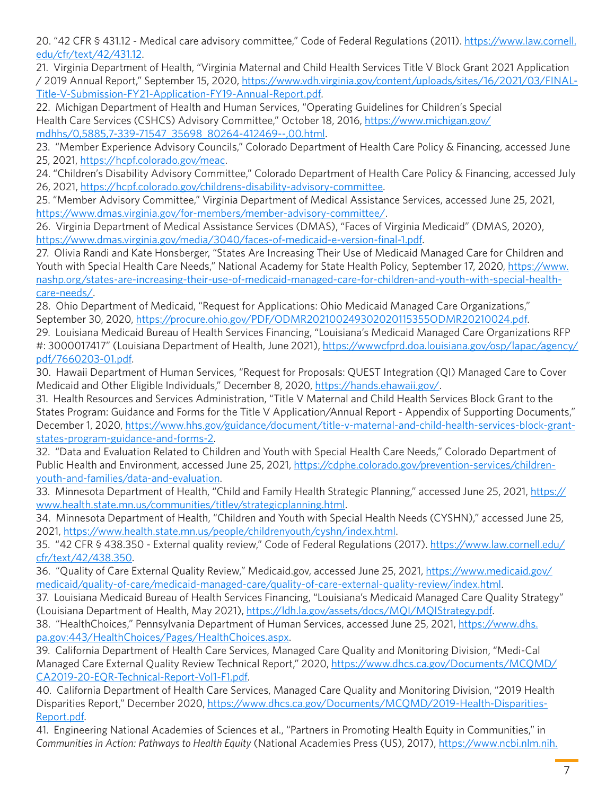<span id="page-7-0"></span>[20](#page-2-0). "42 CFR § 431.12 - Medical care advisory committee," Code of Federal Regulations (2011). [https://www.law.cornell.](https://www.law.cornell.edu/cfr/text/42/431.12) [edu/cfr/text/42/431.12](https://www.law.cornell.edu/cfr/text/42/431.12).

[21.](#page-2-0) Virginia Department of Health, "Virginia Maternal and Child Health Services Title V Block Grant 2021 Application / 2019 Annual Report," September 15, 2020, [https://www.vdh.virginia.gov/content/uploads/sites/16/2021/03/FINAL-](https://www.vdh.virginia.gov/content/uploads/sites/16/2021/03/FINAL-Title-V-Submission-FY21-Application-FY19-Annual-Report.pdf)[Title-V-Submission-FY21-Application-FY19-Annual-Report.pdf.](https://www.vdh.virginia.gov/content/uploads/sites/16/2021/03/FINAL-Title-V-Submission-FY21-Application-FY19-Annual-Report.pdf)

22. Michigan Department of Health and Human Services, "Operating Guidelines for Children's Special Health Care Services (CSHCS) Advisory Committee," October 18, 2016, [https://www.michigan.gov/](https://www.michigan.gov/mdhhs/0,5885,7-339-71547_35698_80264-412469--,00.html) [mdhhs/0,5885,7-339-71547\\_35698\\_80264-412469--,00.html.](https://www.michigan.gov/mdhhs/0,5885,7-339-71547_35698_80264-412469--,00.html)

[23.](#page-2-0) "Member Experience Advisory Councils," Colorado Department of Health Care Policy & Financing, accessed June 25, 2021, <https://hcpf.colorado.gov/meac>.

[24](#page-2-0). "Children's Disability Advisory Committee," Colorado Department of Health Care Policy & Financing, accessed July 26, 2021,<https://hcpf.colorado.gov/childrens-disability-advisory-committee>.

[25.](#page-3-0) "Member Advisory Committee," Virginia Department of Medical Assistance Services, accessed June 25, 2021, [https://www.dmas.virginia.gov/for-members/member-advisory-committee/.](https://www.dmas.virginia.gov/for-members/member-advisory-committee/)

[26](#page-3-0). Virginia Department of Medical Assistance Services (DMAS), "Faces of Virginia Medicaid" (DMAS, 2020), <https://www.dmas.virginia.gov/media/3040/faces-of-medicaid-e-version-final-1.pdf>.

[27.](#page-3-0) Olivia Randi and Kate Honsberger, "States Are Increasing Their Use of Medicaid Managed Care for Children and Youth with Special Health Care Needs," National Academy for State Health Policy, September 17, 2020, [https://www.](https://www.nashp.org/states-are-increasing-their-use-of-medicaid-managed-care-for-children-and-youth-with-special-health-care-needs/) [nashp.org/states-are-increasing-their-use-of-medicaid-managed-care-for-children-and-youth-with-special-health](https://www.nashp.org/states-are-increasing-their-use-of-medicaid-managed-care-for-children-and-youth-with-special-health-care-needs/)[care-needs/](https://www.nashp.org/states-are-increasing-their-use-of-medicaid-managed-care-for-children-and-youth-with-special-health-care-needs/).

[28](#page-3-0). Ohio Department of Medicaid, "Request for Applications: Ohio Medicaid Managed Care Organizations," September 30, 2020,<https://procure.ohio.gov/PDF/ODMR202100249302020115355ODMR20210024.pdf>.

[29.](#page-3-0) Louisiana Medicaid Bureau of Health Services Financing, "Louisiana's Medicaid Managed Care Organizations RFP #: 3000017417" (Louisiana Department of Health, June 2021), [https://wwwcfprd.doa.louisiana.gov/osp/lapac/agency/](https://wwwcfprd.doa.louisiana.gov/osp/lapac/agency/pdf/7660203-01.pdf) [pdf/7660203-01.pdf.](https://wwwcfprd.doa.louisiana.gov/osp/lapac/agency/pdf/7660203-01.pdf)

[30](#page-3-0). Hawaii Department of Human Services, "Request for Proposals: QUEST Integration (QI) Managed Care to Cover Medicaid and Other Eligible Individuals," December 8, 2020, <https://hands.ehawaii.gov/>.

[31.](#page-3-0) Health Resources and Services Administration, "Title V Maternal and Child Health Services Block Grant to the States Program: Guidance and Forms for the Title V Application/Annual Report - Appendix of Supporting Documents," December 1, 2020, [https://www.hhs.gov/guidance/document/title-v-maternal-and-child-health-services-block-grant](https://www.hhs.gov/guidance/document/title-v-maternal-and-child-health-services-block-grant-states-program-guidance-and-forms-2)[states-program-guidance-and-forms-2.](https://www.hhs.gov/guidance/document/title-v-maternal-and-child-health-services-block-grant-states-program-guidance-and-forms-2)

[32.](#page-3-0) "Data and Evaluation Related to Children and Youth with Special Health Care Needs," Colorado Department of Public Health and Environment, accessed June 25, 2021, [https://cdphe.colorado.gov/prevention-services/children](https://cdphe.colorado.gov/prevention-services/children-youth-and-families/data-and-evaluation)[youth-and-families/data-and-evaluation.](https://cdphe.colorado.gov/prevention-services/children-youth-and-families/data-and-evaluation)

[33.](#page-3-0) Minnesota Department of Health, "Child and Family Health Strategic Planning," accessed June 25, 2021, [https://](https://www.health.state.mn.us/communities/titlev/strategicplanning.html) [www.health.state.mn.us/communities/titlev/strategicplanning.html.](https://www.health.state.mn.us/communities/titlev/strategicplanning.html)

[34](#page-3-0). Minnesota Department of Health, "Children and Youth with Special Health Needs (CYSHN)," accessed June 25, 2021,<https://www.health.state.mn.us/people/childrenyouth/cyshn/index.html>.

[35.](#page-4-0) "42 CFR § 438.350 - External quality review," Code of Federal Regulations (2017). [https://www.law.cornell.edu/](https://www.law.cornell.edu/cfr/text/42/438.350) [cfr/text/42/438.350](https://www.law.cornell.edu/cfr/text/42/438.350).

[36](#page-4-0). "Quality of Care External Quality Review," Medicaid.gov, accessed June 25, 2021, [https://www.medicaid.gov/](https://www.medicaid.gov/medicaid/quality-of-care/medicaid-managed-care/quality-of-care-external-quality-review/index.html) [medicaid/quality-of-care/medicaid-managed-care/quality-of-care-external-quality-review/index.html](https://www.medicaid.gov/medicaid/quality-of-care/medicaid-managed-care/quality-of-care-external-quality-review/index.html).

[37](#page-4-0). Louisiana Medicaid Bureau of Health Services Financing, "Louisiana's Medicaid Managed Care Quality Strategy" (Louisiana Department of Health, May 2021),<https://ldh.la.gov/assets/docs/MQI/MQIStrategy.pdf>.

[38](#page-4-0). "HealthChoices," Pennsylvania Department of Human Services, accessed June 25, 2021, [https://www.dhs.](https://www.dhs.pa.gov/HealthChoices/Pages/HealthChoices.aspx) [pa.gov:443/HealthChoices/Pages/HealthChoices.aspx.](https://www.dhs.pa.gov/HealthChoices/Pages/HealthChoices.aspx)

[39.](#page-4-0) California Department of Health Care Services, Managed Care Quality and Monitoring Division, "Medi-Cal Managed Care External Quality Review Technical Report," 2020, [https://www.dhcs.ca.gov/Documents/MCQMD/](https://www.dhcs.ca.gov/Documents/MCQMD/CA2019-20-EQR-Technical-Report-Vol1-F1.pdf) [CA2019-20-EQR-Technical-Report-Vol1-F1.pdf](https://www.dhcs.ca.gov/Documents/MCQMD/CA2019-20-EQR-Technical-Report-Vol1-F1.pdf).

[40](#page-4-0). California Department of Health Care Services, Managed Care Quality and Monitoring Division, "2019 Health Disparities Report," December 2020, [https://www.dhcs.ca.gov/Documents/MCQMD/2019-Health-Disparities-](https://www.dhcs.ca.gov/Documents/MCQMD/2019-Health-Disparities-Report.pdf)[Report.pdf.](https://www.dhcs.ca.gov/Documents/MCQMD/2019-Health-Disparities-Report.pdf)

[41](#page-4-0). Engineering National Academies of Sciences et al., "Partners in Promoting Health Equity in Communities," in *Communities in Action: Pathways to Health Equity* (National Academies Press (US), 2017), [https://www.ncbi.nlm.nih.](https://www.ncbi.nlm.nih.gov/books/NBK425859/)